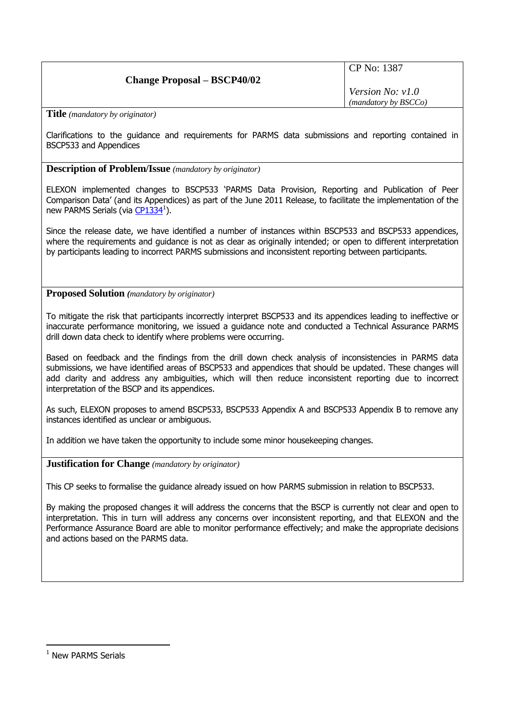## **Change Proposal – BSCP40/02**

CP No: 1387

*Version No: v1.0 (mandatory by BSCCo)*

**Title** *(mandatory by originator)*

Clarifications to the guidance and requirements for PARMS data submissions and reporting contained in BSCP533 and Appendices

**Description of Problem/Issue** *(mandatory by originator)*

ELEXON implemented changes to BSCP533 'PARMS Data Provision, Reporting and Publication of Peer Comparison Data' (and its Appendices) as part of the June 2011 Release, to facilitate the implementation of the new PARMS Serials (via [CP1334](http://www.elexon.co.uk/change-proposal/cp1334-new-parms-serials/)<sup>1</sup>).

Since the release date, we have identified a number of instances within BSCP533 and BSCP533 appendices, where the requirements and guidance is not as clear as originally intended; or open to different interpretation by participants leading to incorrect PARMS submissions and inconsistent reporting between participants.

**Proposed Solution** *(mandatory by originator)*

To mitigate the risk that participants incorrectly interpret BSCP533 and its appendices leading to ineffective or inaccurate performance monitoring, we issued a guidance note and conducted a Technical Assurance PARMS drill down data check to identify where problems were occurring.

Based on feedback and the findings from the drill down check analysis of inconsistencies in PARMS data submissions, we have identified areas of BSCP533 and appendices that should be updated. These changes will add clarity and address any ambiguities, which will then reduce inconsistent reporting due to incorrect interpretation of the BSCP and its appendices.

As such, ELEXON proposes to amend BSCP533, BSCP533 Appendix A and BSCP533 Appendix B to remove any instances identified as unclear or ambiguous.

In addition we have taken the opportunity to include some minor housekeeping changes.

**Justification for Change** *(mandatory by originator)*

This CP seeks to formalise the guidance already issued on how PARMS submission in relation to BSCP533.

By making the proposed changes it will address the concerns that the BSCP is currently not clear and open to interpretation. This in turn will address any concerns over inconsistent reporting, and that ELEXON and the Performance Assurance Board are able to monitor performance effectively; and make the appropriate decisions and actions based on the PARMS data.

<u>.</u>

<sup>&</sup>lt;sup>1</sup> New PARMS Serials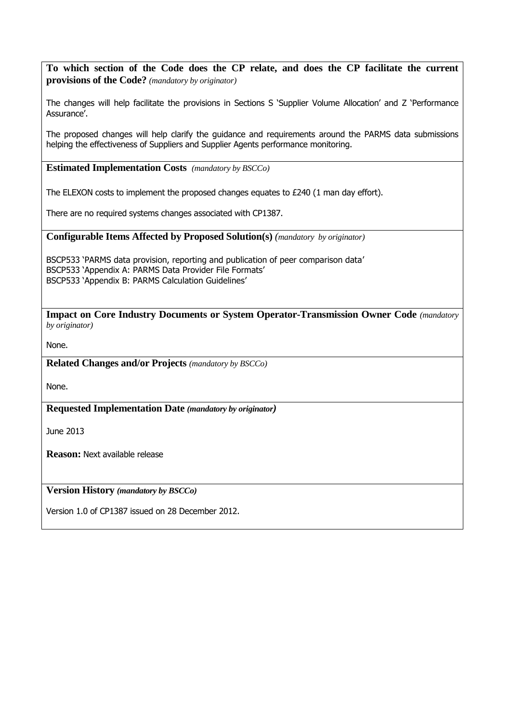**To which section of the Code does the CP relate, and does the CP facilitate the current provisions of the Code?** *(mandatory by originator)*

The changes will help facilitate the provisions in Sections S 'Supplier Volume Allocation' and Z 'Performance Assurance'.

The proposed changes will help clarify the guidance and requirements around the PARMS data submissions helping the effectiveness of Suppliers and Supplier Agents performance monitoring.

**Estimated Implementation Costs** *(mandatory by BSCCo)*

The ELEXON costs to implement the proposed changes equates to £240 (1 man day effort).

There are no required systems changes associated with CP1387.

**Configurable Items Affected by Proposed Solution(s)** *(mandatory by originator)*

BSCP533 'PARMS data provision, reporting and publication of peer comparison data' BSCP533 'Appendix A: PARMS Data Provider File Formats' BSCP533 'Appendix B: PARMS Calculation Guidelines'

**Impact on Core Industry Documents or System Operator-Transmission Owner Code** *(mandatory by originator)*

None.

**Related Changes and/or Projects** *(mandatory by BSCCo)*

None.

**Requested Implementation Date** *(mandatory by originator)*

June 2013

**Reason:** Next available release

**Version History** *(mandatory by BSCCo)*

Version 1.0 of CP1387 issued on 28 December 2012.